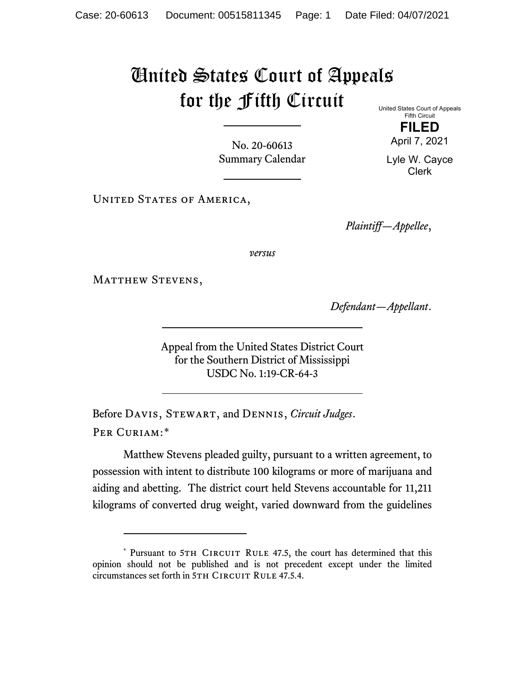## United States Court of Appeals for the Fifth Circuit

No. 20-60613 Summary Calendar United States Court of Appeals Fifth Circuit **FILED**

April 7, 2021 Lyle W. Cayce Clerk

UNITED STATES OF AMERICA,

*Plaintiff—Appellee*,

*versus*

MATTHEW STEVENS,

*Defendant—Appellant*.

Appeal from the United States District Court for the Southern District of Mississippi USDC No. 1:19-CR-64-3

Before Davis, Stewart, and Dennis, *Circuit Judges*. Per Curiam:[\\*](#page-0-0)

Matthew Stevens pleaded guilty, pursuant to a written agreement, to possession with intent to distribute 100 kilograms or more of marijuana and aiding and abetting. The district court held Stevens accountable for 11,211 kilograms of converted drug weight, varied downward from the guidelines

<span id="page-0-0"></span><sup>\*</sup> Pursuant to 5TH CIRCUIT RULE 47.5, the court has determined that this opinion should not be published and is not precedent except under the limited circumstances set forth in 5TH CIRCUIT RULE 47.5.4.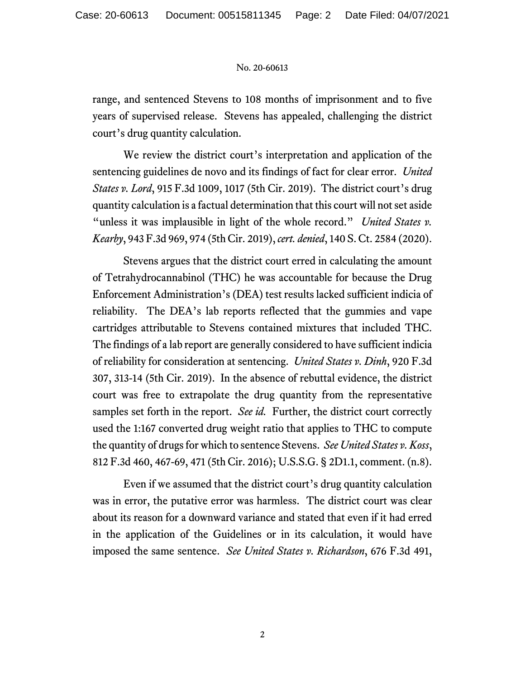## No. 20-60613

range, and sentenced Stevens to 108 months of imprisonment and to five years of supervised release. Stevens has appealed, challenging the district court's drug quantity calculation.

We review the district court's interpretation and application of the sentencing guidelines de novo and its findings of fact for clear error. *United States v. Lord*, 915 F.3d 1009, 1017 (5th Cir. 2019). The district court's drug quantity calculation is a factual determination that this court will not set aside "unless it was implausible in light of the whole record." *United States v. Kearby*, 943 F.3d 969, 974 (5th Cir. 2019), *cert. denied*, 140 S. Ct. 2584 (2020).

Stevens argues that the district court erred in calculating the amount of Tetrahydrocannabinol (THC) he was accountable for because the Drug Enforcement Administration's (DEA) test results lacked sufficient indicia of reliability. The DEA's lab reports reflected that the gummies and vape cartridges attributable to Stevens contained mixtures that included THC. The findings of a lab report are generally considered to have sufficient indicia of reliability for consideration at sentencing. *United States v. Dinh*, 920 F.3d 307, 313-14 (5th Cir. 2019). In the absence of rebuttal evidence, the district court was free to extrapolate the drug quantity from the representative samples set forth in the report. *See id.* Further, the district court correctly used the 1:167 converted drug weight ratio that applies to THC to compute the quantity of drugs for which to sentence Stevens. *See United States v. Koss*, 812 F.3d 460, 467-69, 471 (5th Cir. 2016); U.S.S.G. § 2D1.1, comment. (n.8).

Even if we assumed that the district court's drug quantity calculation was in error, the putative error was harmless. The district court was clear about its reason for a downward variance and stated that even if it had erred in the application of the Guidelines or in its calculation, it would have imposed the same sentence. *See United States v. Richardson*, 676 F.3d 491,